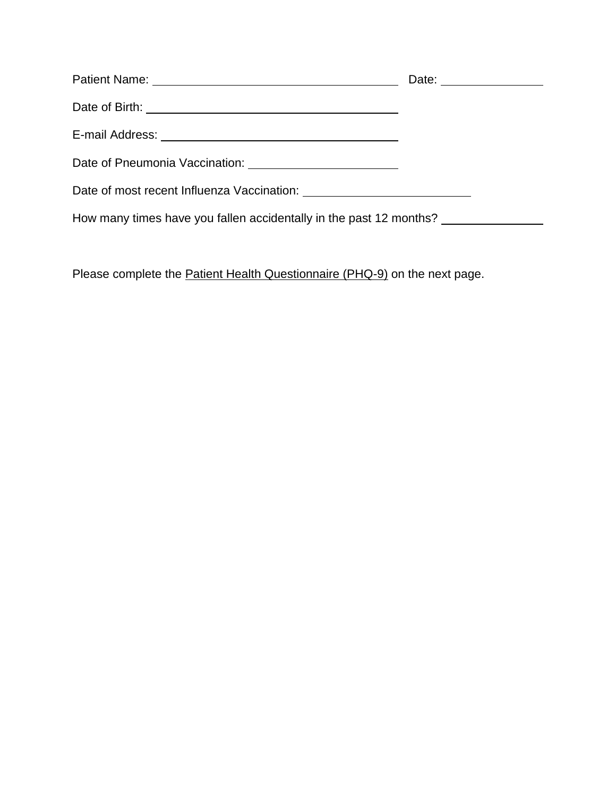|                                                                    | Date: _________________ |
|--------------------------------------------------------------------|-------------------------|
|                                                                    |                         |
|                                                                    |                         |
|                                                                    |                         |
|                                                                    |                         |
| How many times have you fallen accidentally in the past 12 months? |                         |

Please complete the **Patient Health Questionnaire (PHQ-9)** on the next page.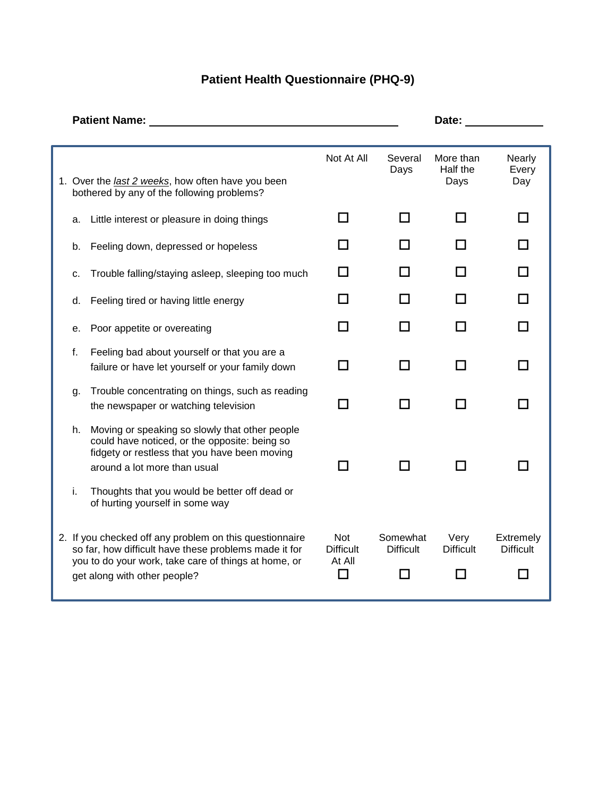## **Patient Health Questionnaire (PHQ-9)**

|          | <b>Patient Name:</b>                                                                                                                                                                                                                        | Date:                                   |                              |                               |                                    |
|----------|---------------------------------------------------------------------------------------------------------------------------------------------------------------------------------------------------------------------------------------------|-----------------------------------------|------------------------------|-------------------------------|------------------------------------|
|          |                                                                                                                                                                                                                                             |                                         |                              |                               |                                    |
|          | 1. Over the <i>last 2 weeks</i> , how often have you been<br>bothered by any of the following problems?                                                                                                                                     | Not At All                              | Several<br>Days              | More than<br>Half the<br>Days | <b>Nearly</b><br>Every<br>Day      |
| a.       | Little interest or pleasure in doing things                                                                                                                                                                                                 | l I                                     | ΙI                           | l I                           |                                    |
| b.       | Feeling down, depressed or hopeless                                                                                                                                                                                                         | П                                       | $\blacksquare$               |                               |                                    |
| c.       | Trouble falling/staying asleep, sleeping too much                                                                                                                                                                                           | П                                       | ΙI                           |                               |                                    |
| d.       | Feeling tired or having little energy                                                                                                                                                                                                       | l I                                     |                              |                               |                                    |
| е.       | Poor appetite or overeating                                                                                                                                                                                                                 | $\Box$                                  |                              |                               |                                    |
| f.       | Feeling bad about yourself or that you are a<br>failure or have let yourself or your family down                                                                                                                                            | П                                       | ΙI                           |                               |                                    |
| g.       | Trouble concentrating on things, such as reading<br>the newspaper or watching television                                                                                                                                                    | П                                       | □                            |                               |                                    |
| h.<br>i. | Moving or speaking so slowly that other people<br>could have noticed, or the opposite: being so<br>fidgety or restless that you have been moving<br>around a lot more than usual<br>Thoughts that you would be better off dead or           | H                                       | П                            |                               |                                    |
|          | of hurting yourself in some way<br>2. If you checked off any problem on this questionnaire<br>so far, how difficult have these problems made it for<br>you to do your work, take care of things at home, or<br>get along with other people? | Not<br><b>Difficult</b><br>At All<br>J. | Somewhat<br><b>Difficult</b> | Very<br><b>Difficult</b>      | Extremely<br><b>Difficult</b><br>H |